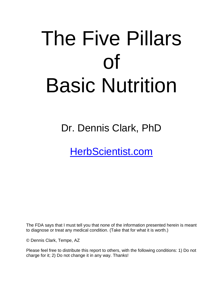# The Five Pillars of Basic Nutrition

# Dr. Dennis Clark, PhD

[HerbScientist.com](http://herbscientist.com/)

The FDA says that I must tell you that none of the information presented herein is meant to diagnose or treat any medical condition. (Take that for what it is worth.)

© Dennis Clark, Tempe, AZ

Please feel free to distribute this report to others, with the following conditions: 1) Do not charge for it; 2) Do not change it in any way. Thanks!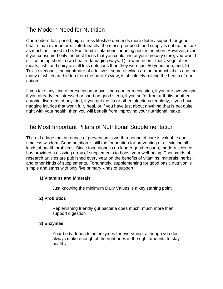# The Modern Need for Nutrition

Our modern fast-paced, high-stress lifestyle demands more dietary support for good health than ever before. Unfortunately, the mass-produced food supply is not up the task as much as it used to be. Fast food is infamous for being poor in nutrition. However, even if you consumed only the best foods that you could find at your grocery store, you would still come up short in two health-damaging ways: 1) Low nutrition - fruits, vegetables, meats, fish, and dairy are all less nutritious than they were just 50 years ago; and, 2) Toxic overload - the nightmare of additives, some of which are on product labels and too many of which are hidden from the public's view, is absolutely ruining the health of our nation.

If you take any kind of prescription or over-the-counter medication, if you are overweight, if you already feel stressed or short on good sleep, if you suffer from arthritis or other chronic disorders of any kind, if you get the flu or other infections regularly, if you have nagging injuries that won't fully heal, or if you have just about anything that is not quite right with your health, then you will benefit from improving your nutritional intake.

# The Most Important Pillars of Nutritional Supplementation

The old adage that an ounce of prevention is worth a pound of cure is valuable and timeless wisdom. Good nutrition is still the foundation for preventing or alleviating all kinds of health problems. Since food alone is no longer good enough, modern science has provided a dizzying array of supplements to boost your well-being. Thousands of research articles are published every year on the benefits of vitamins, minerals, herbs, and other kinds of supplements. Fortunately, supplementing for good basic nutrition is simple and starts with only five primary kinds of support:

#### **1) Vitamins and Minerals**

Just knowing the minimum Daily Values is a key starting point.

#### **2) Probiotics**

Replenishing friendly gut bacteria does much, much more than support digestion

#### **3) Enzymes**

Your body depends on enzymes for everything, although you don't always make enough of the right ones in the right amounts to stay healthy.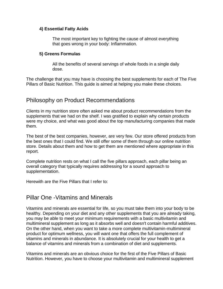#### **4) Essential Fatty Acids**

The most important key to fighting the cause of almost everything that goes wrong in your body: Inflammation.

#### **5) Greens Formulas**

All the benefits of several servings of whole foods in a single daily dose.

The challenge that you may have is choosing the best supplements for each of The Five Pillars of Basic Nutrition. This guide is aimed at helping you make these choices.

### Philosophy on Product Recommendations

Clients in my nutrition store often asked me about product recommendations from the supplements that we had on the shelf. I was gratified to explain why certain products were my choice, and what was good about the top manufacturing companies that made them.

The best of the best companies, however, are very few. Our store offered products from the best ones that I could find. We still offer some of them through our online nutrition store. Details about them and how to get them are mentioned where appropriate in this report.

Complete nutrition rests on what I call the five pillars approach, each pillar being an overall category that typically requires addressing for a sound approach to supplementation.

Herewith are the Five Pillars that I refer to:

# Pillar One -Vitamins and Minerals

Vitamins and minerals are essential for life, so you must take them into your body to be healthy. Depending on your diet and any other supplements that you are already taking, you may be able to meet your minimum requirements with a basic multivitamin and multimineral supplement as long as it absorbs well and doesn't contain harmful additives. On the other hand, when you want to take a more complete multivitamin-multimineral product for optimum wellness, you will want one that offers the full complement of vitamins and minerals in abundance. It is absolutely crucial for your health to get a balance of vitamins and minerals from a combination of diet and supplements.

Vitamins and minerals are an obvious choice for the first of the Five Pillars of Basic Nutrition. However, you have to choose your multivitamin and multimineral supplement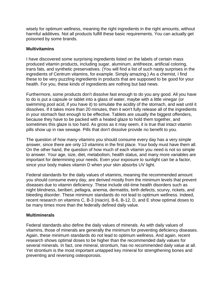wisely for optimum wellness, meaning the right ingredients in the right amounts, without harmful additives. Not all products fulfill these basic requirements. You can actually get poisoned by some brands.

#### **Multivitamins**

I have discovered some surprising ingredients listed on the labels of certain mass produced vitamin products, including sugar, aluminum, antifreeze, artificial coloring, trans fats, and synthetic preservatives. (You will find a list of such nasty surprises in the ingredients of Centrum vitamins, for example. Simply amazing.) As a chemist, I find these to be very puzzling ingredients in products that are supposed to be good for your health. For you, these kinds of ingredients are nothing but bad news.

Furthermore, some products don't dissolve fast enough to do you any good. All you have to do is put a capsule or tablet into a glass of water, maybe with a little vinegar (or swimming pool acid, if you have it) to simulate the acidity of the stomach, and wait until it dissolves. If it takes more than 20 minutes, then it won't fully release all of the ingredients in your stomach fast enough to be effective. Tablets are usually the biggest offenders, because they have to be packed with a heated glaze to hold them together, and sometimes this glaze is too hard. As gross as it may seem, it is true that intact vitamin pills show up in raw sewage. Pills that don't dissolve provide no benefit to you.

The question of how many vitamins you should consume every day has a very simple answer, since there are only 13 vitamins in the first place. Your body must have them all. On the other hand, the question of how much of each vitamin you need is not so simple to answer. Your age, size, diet, metabolism, health status, and many more variables are important for determining your needs. Even your exposure to sunlight can be a factor, since your body makes vitamin D when your skin absorbs UV light.

Federal standards for the daily values of vitamins, meaning the recommended amount you should consume every day, are derived mostly from the minimum levels that prevent diseases due to vitamin deficiency. These include old-time health disorders such as night blindness, beriberi, pellagra, anemia, dermatitis, birth defects, scurvy, rickets, and bleeding disorder. These minimum standards do not lead to optimum wellness. Indeed, recent research on vitamins C, B-3 (niacin), B-6, B-12, D, and E show optimal doses to be many times more than the federally defined daily value.

#### **Multiminerals**

Federal standards also define the daily values of minerals. As with daily values of vitamins, those of minerals are generally the minimum for preventing deficiency diseases. Again, these minimum standards do not lead to optimum wellness. And again, recent research shows optimal doses to be higher than the recommended daily values for several minerals. In fact, one mineral, strontium, has no recommended daily value at all. Yet strontium is the most important untapped key mineral for strengthening bones and preventing and reversing osteoporosis.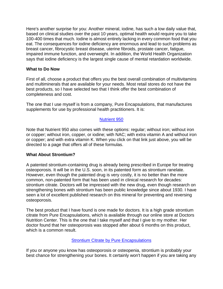Here's another surprise for you: Another mineral, iodine, has such a low daily value that, based on clinical studies over the past 10 years, optimal health would require you to take 100-400 times that much. Iodine is almost entirely lacking in every common food that you eat. The consequences for iodine deficiency are enormous and lead to such problems as breast cancer, fibrocystic breast disease, uterine fibroids, prostate cancer, fatigue, impaired immune function, and overweight. In addition, the World Health Organization says that iodine deficiency is the largest single cause of mental retardation worldwide.

#### **What to Do Now**

First of all, choose a product that offers you the best overall combination of multivitamins and multiminerals that are available for your needs. Most retail stores do not have the best products, so I have selected two that I think offer the best combination of completeness and cost.

The one that I use myself is from a company, Pure Encapsulations, that manufactures supplements for use by professional health practitioners. It is:

#### [Nutrient 950](http://doctorsnutritioncenter.com/shop/category/vitamins-and-minerals/)

Note that Nutrient 950 also comes with these options: regular; without iron; without iron or copper; without iron, copper, or iodine; with NAC; with extra vitamin A and without iron or copper; and with extra vitamin K. When you click on that link just above, you will be directed to a page that offers all of these formulas.

#### **What About Strontium?**

A patented strontium-containing drug is already being prescribed in Europe for treating osteoporosis. It will be in the U.S. soon, in its patented form as strontium ranelate. However, even though the patented drug is very costly, it is no better than the more common, non-patented form that has been used in clinical research for decades: strontium citrate. Doctors will be impressed with the new drug, even though research on strengthening bones with strontium has been public knowledge since about 1930. I have seen a lot of excellent published research on this mineral for preventing and reversing osteoporosis.

The best product that I have found is one made for doctors. It is a high grade strontium citrate from Pure Encapsulations, which is available through our online store at Doctors Nutrition Center. This is the one that I take myself and that I give to my mother. Her doctor found that her osteoporosis was stopped after about 6 months on this product, which is a common result.

#### **Strontium Citrate [by Pure Encapsulations](http://doctorsnutritioncenter.com/shop/strontium-citrate-pure-encapsulations/)**

If you or anyone you know has osteoporosis or osteopenia, strontium is probably your best chance for strengthening your bones. It certainly won't happen if you are taking any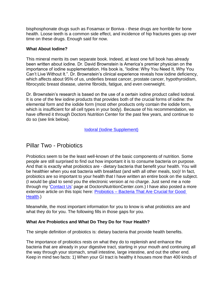bisphosphonate drugs such as Fosamax or Boniva - these drugs are horrible for bone health. Loose teeth is a common side effect, and incidence of hip fractures goes up over time on these drugs. Enough said for now.

#### **What About Iodine?**

This mineral merits its own separate book. Indeed, at least one full book has already been written about iodine. Dr. David Brownstein is America"s premier physician on the importance of iodine supplementation. His book is, "Iodine: Why You Need It, Why You Can"t Live Without It.". Dr. Brownstein"s clinical experience reveals how iodine deficiency, which affects about 95% of us, underlies breast cancer, prostate cancer, hypothyroidism, fibrocystic breast disease, uterine fibroids, fatigue, and even overweight.

Dr. Brownstein"s research is based on the use of a certain iodine product called Iodoral. It is one of the few iodine products that provides both of the crucial forms of iodine: the elemental form and the iodide form (most other products only contain the iodide form, which is insufficient for all cell types in your body). Because of his recommendation, we have offered it through Doctors Nutrition Center for the past few years, and continue to do so (see link below).

[Iodoral \(Iodine Supplement\)](http://doctorsnutritioncenter.com/shop/iodoral-multi-iodine-complex-optimox/)

## Pillar Two - Probiotics

Probiotics seem to be the least well-known of the basic components of nutrition. Some people are still surprised to find out how important it is to consume bacteria on purpose. And that is exactly what probiotics are - dietary bacteria that benefit your health. You will be healthier when you eat bacteria with breakfast (and with all other meals, too)! In fact, probiotics are so important to your health that I have written an entire book on the subject. (I would be glad to send you the electronic version at no charge. Just send me a note through my ["Contact Us"](http://doctorsnutritioncenter.com/contact-us/) page at DoctorsNutritionCenter.com.) I have also posted a more extensive article on this topic here: Probiotics – [Bacteria That Are Crucial for Good](http://doctorsnutritioncenter.com/probiotics-bacteria-that-are-crucial-for-good-health/)  [Health.](http://doctorsnutritioncenter.com/probiotics-bacteria-that-are-crucial-for-good-health/))

Meanwhile, the most important information for you to know is what probiotics are and what they do for you. The following fills in those gaps for you.

#### **What Are Probiotics and What Do They Do for Your Health?**

The simple definition of probiotics is: dietary bacteria that provide health benefits.

The importance of probiotics rests on what they do to replenish and enhance the bacteria that are already in your digestive tract, starting in your mouth and continuing all the way through your stomach, small intestine, large intestine, and out the other end. Keep in mind two facts: 1) When your GI tract is healthy it houses more than 400 kinds of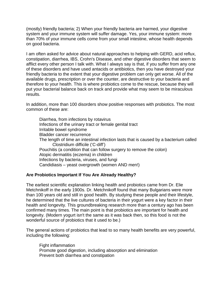(mostly) friendly bacteria; 2) When your friendly bacteria are harmed, your digestive system and your immune system will suffer damage. Yes, your immune system: more than 70% of your immune cells come from your small intestine, whose health depends on good bacteria.

I am often asked for advice about natural approaches to helping with GERD, acid reflux, constipation, diarrhea, IBS, Crohn's Disease, and other digestive disorders that seem to afflict every other person I talk with. What I always say is that, if you suffer from any one of these disorders and have used antacids or antibiotics, then you have destroyed your friendly bacteria to the extent that your digestive problem can only get worse. All of the available drugs, prescription or over the counter, are destructive to your bacteria and therefore to your health. This is where probiotics come to the rescue, because they will put your bacterial balance back on track and provide what may seem to be miraculous results.

In addition, more than 100 disorders show positive responses with probiotics. The most common of these are:

Diarrhea, from infections by rotavirus Infections of the urinary tract or female genital tract Irritable bowel syndrome Bladder cancer recurrence The length of time an intestinal infection lasts that is caused by a bacterium called Clostridium difficile ("C-diff") Pouchitis (a condition that can follow surgery to remove the colon) Atopic dermatitis (eczema) in children Infections by bacteria, viruses, and fungi Candidiasis – yeast overgrowth (women AND men!)

#### **Are Probiotics Important If You Are Already Healthy?**

The earliest scientific explanation linking health and probiotics came from Dr. Elie Metchnikoff in the early 1900s. Dr. Metchnikoff found that many Bulgarians were more than 100 years old and still in good health. By studying these people and their lifestyle, he determined that the live cultures of bacteria in their yogurt were a key factor in their health and longevity. This groundbreaking research more than a century ago has been confirmed many times. The main point is that probiotics are important for health and longevity. (Modern yogurt isn't the same as it was back then, so this food is not the wonderful source of probiotics that it used to be.)

The general actions of probiotics that lead to so many health benefits are very powerful, including the following:

Fight inflammation Promote good digestion, including absorption and elimination Prevent both diarrhea and constipation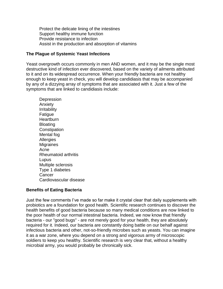Protect the delicate lining of the intestines Support healthy immune function Provide resistance to infection Assist in the production and absorption of vitamins

#### **The Plague of Systemic Yeast Infections**

Yeast overgrowth occurs commonly in men AND women, and it may be the single most destructive kind of infection ever discovered, based on the variety of ailments attributed to it and on its widespread occurrence. When your friendly bacteria are not healthy enough to keep yeast in check, you will develop candidiasis that may be accompanied by any of a dizzying array of symptoms that are associated with it. Just a few of the symptoms that are linked to candidiasis include:

**Depression** Anxiety Irritability Fatigue **Heartburn** Bloating **Constipation** Mental fog Allergies **Migraines** Acne Rheumatoid arthritis Lupus Multiple sclerosis Type 1 diabetes **Cancer** Cardiovascular disease

#### **Benefits of Eating Bacteria**

Just the few comments I"ve made so far make it crystal clear that daily supplements with probiotics are a foundation for good health. Scientific research continues to discover the health benefits of good bacteria because so many medical conditions are now linked to the poor health of our normal intestinal bacteria. Indeed, we now know that friendly bacteria - our "good bugs" - are not merely good for your health, they are absolutely required for it. Indeed, our bacteria are constantly doing battle on our behalf against infectious bacteria and other, not-so-friendly microbes such as yeasts. You can imagine it as a war zone, where you depend on a strong and vigorous army of microscopic soldiers to keep you healthy. Scientific research is very clear that, without a healthy microbial army, you would probably be chronically sick.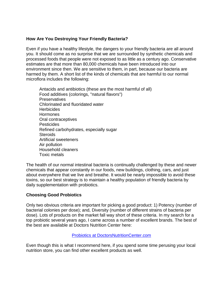#### **How Are You Destroying Your Friendly Bacteria?**

Even if you have a healthy lifestyle, the dangers to your friendly bacteria are all around you. It should come as no surprise that we are surrounded by synthetic chemicals and processed foods that people were not exposed to as little as a century ago. Conservative estimates are that more than 80,000 chemicals have been introduced into our environment since then. We are sensitive to them, in part, because our bacteria are harmed by them. A short list of the kinds of chemicals that are harmful to our normal microflora includes the following:

Antacids and antibiotics (these are the most harmful of all) Food additives (colorings, "natural flavors") Preservatives Chlorinated and fluoridated water **Herbicides Hormones** Oral contraceptives Pesticides Refined carbohydrates, especially sugar **Steroids** Artificial sweeteners Air pollution Household cleaners Toxic metals

The health of our normal intestinal bacteria is continually challenged by these and newer chemicals that appear constantly in our foods, new buildings, clothing, cars, and just about everywhere that we live and breathe. It would be nearly impossible to avoid these toxins, so our best strategy is to maintain a healthy population of friendly bacteria by daily supplementation with probiotics.

#### **Choosing Good Probiotics**

Only two obvious criteria are important for picking a good product: 1) Potency (number of bacterial colonies per dose); and, Diversity (number of different strains of bacteria per dose). Lots of products on the market fall way short of these criteria. In my search for a top probiotic several years ago, I came across a number of excellent brands. The best of the best are available at Doctors Nutrition Center here:

#### [Probiotics at DoctorsNutritionCenter.com](http://doctorsnutritioncenter.com/shop/category/probiotics/)

Even though this is what I recommend here, if you spend some time perusing your local nutrition store, you can find other excellent products as well.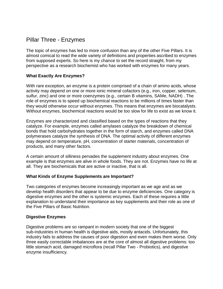# Pillar Three - Enzymes

The topic of enzymes has led to more confusion than any of the other Five Pillars. It is almost comical to read the wide variety of definitions and properties ascribed to enzymes from supposed experts. So here is my chance to set the record straight, from my perspective as a research biochemist who has worked with enzymes for many years.

#### **What Exactly Are Enzymes?**

With rare exception, an enzyme is a protein comprised of a chain of amino acids, whose activity may depend on one or more ionic mineral cofactors (e.g., iron, copper, selenium, sulfur, zinc) and one or more coenzymes (e.g., certain B vitamins, SAMe, NADH) . The role of enzymes is to speed up biochemical reactions to be millions of times faster than they would otherwise occur without enzymes. This means that enzymes are biocatalysts. Without enzymes, biochemical reactions would be too slow for life to exist as we know it.

Enzymes are characterized and classified based on the types of reactions that they catalyze. For example, enzymes called amylases catalyze the breakdown of chemical bonds that hold carbohydrates together in the form of starch, and enzymes called DNA polymerases catalyze the synthesis of DNA. The optimal activity of different enzymes may depend on temperature, pH, concentration of starter materials, concentration of products, and many other factors.

A certain amount of silliness pervades the supplement industry about enzymes. One example is that enzymes are alive in whole foods. They are not. Enzymes have no life at all. They are biochemicals that are active or inactive, that is all.

#### **What Kinds of Enzyme Supplements are Important?**

Two categories of enzymes become increasingly important as we age and as we develop health disorders that appear to be due to enzyme deficiencies. One category is digestive enzymes and the other is systemic enzymes. Each of these requires a little explanation to understand their importance as key supplements and their role as one of the Five Pillars of Basic Nutrition.

#### **Digestive Enzymes**

Digestive problems are so rampant in modern society that one of the biggest sub-industries in human health is digestive aids, mostly antacids. Unfortunately, this industry fails to address the causes of poor digestion and even makes them worse. Only three easily correctable imbalances are at the core of almost all digestive problems: too little stomach acid, damaged microflora (recall Pillar Two - Probiotics), and digestive enzyme insufficiency.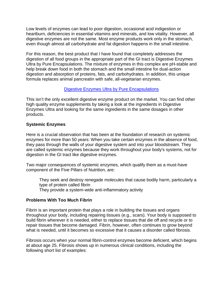Low levels of enzymes can lead to poor digestion, occasional acid indigestion or heartburn, deficiencies in essential vitamins and minerals, and low vitality. However, all digestive enzymes are not the same. Most enzyme products work only in the stomach, even though almost all carbohydrate and fat digestion happens in the small intestine.

For this reason, the best product that I have found that completely addresses the digestion of all food groups in the appropriate part of the GI tract is Digestive Enzymes Ultra by Pure Encapsulations. The mixture of enzymes in this complex are pH-stable and help break down food in both the stomach and the small intestine for dual-action digestion and absorption of proteins, fats, and carbohydrates. In addition, this unique formula replaces animal pancreatin with safe, all-vegetarian enzymes.

#### [Digestive Enzymes Ultra](http://doctorsnutritioncenter.com/shop/digestive-enzymes-ultra-pure-encapsulations/) by Pure Encapsulations

This isn"t the only excellent digestive enzyme product on the market. You can find other high quality enzyme supplements by taking a look at the ingredients in Digestive Enzymes Ultra and looking for the same ingredients in the same dosages in other products.

#### **Systemic Enzymes**

Here is a crucial observation that has been at the foundation of research on systemic enzymes for more than 50 years: When you take certain enzymes in the absence of food, they pass through the walls of your digestive system and into your bloodstream. They are called systemic enzymes because they work throughout your body's systems, not for digestion in the GI tract like digestive enzymes.

Two major consequences of systemic enzymes, which qualify them as a must-have component of the Five Pillars of Nutrition, are:

They seek and destroy renegade molecules that cause bodily harm, particularly a type of protein called fibrin They provide a system-wide anti-inflammatory activity

#### **Problems With Too Much Fibrin**

Fibrin is an important protein that plays a role in building the tissues and organs throughout your body, including repairing tissues (e.g., scars). Your body is supposed to build fibrin wherever it is needed, either to replace tissues that die off and recycle or to repair tissues that become damaged. Fibrin, however, often continues to grow beyond what is needed, until it becomes so excessive that it causes a disorder called fibrosis.

Fibrosis occurs when your normal fibrin-control enzymes become deficient, which begins at about age 25. Fibrosis shows up in numerous clinical conditions, including the following short list of examples: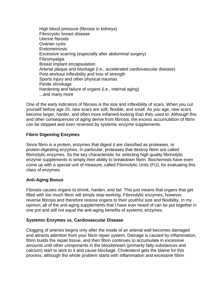High blood pressure (fibrosis in kidneys) Fibrocystic breast disease Uterine fibroids Ovarian cysts Endometriosis Excessive scarring (especially after abdominal surgery) Fibromyalgia Breast implant encapsulation Arterial plaque and blockage (i.e., accelerated cardiovascular disease) Post-workout inflexibility and loss of strength Sports injury and other physical traumas Penile shrinkage Hardening and failure of organs (i.e., internal aging) ...and many more

One of the early indicators of fibrosis is the size and inflexibility of scars. When you cut yourself before age 25, new scars are soft, flexible, and small. As you age, new scars become larger, harder, and often more inflamed-looking than they used to. Although this and other consequences of aging derive from fibrosis, the excess accumulation of fibrin can be stopped and even reversed by systemic enzyme supplements.

#### **Fibrin Digesting Enzymes**

Since fibrin is a protein, enzymes that digest it are classified as proteases, or protein-digesting enzymes. In particular, proteases that destroy fibrin are called fibrinolytic enzymes. So the key characteristic for selecting high quality fibrinolytic enzyme supplements is simply their ability to breakdown fibrin. Biochemists have even come up with a special unit of measure, called Fibrinolytic Units (FU), for evaluating this class of enzymes.

#### **Anti-Aging Bonus**

Fibrosis causes organs to shrink, harden, and fail. This just means that organs that get filled with too much fibrin will simply stop working. Fibrinolytic enzymes, however, reverse fibrosis and therefore restore organs to their youthful size and flexibility. In my opinion, all of the anti-aging supplements that I have ever heard of can be put together in one pot and still not equal the anti-aging benefits of systemic enzymes.

#### **Systemic Enzymes vs. Cardiovascular Disease**

Clogging of arteries begins only after the inside of an arterial wall becomes damaged and attracts attention from your fibrin repair system. Damage is caused by inflammation, fibrin builds the repair tissue, and then fibrin continues to accumulate in excessive amounts until other components in the bloodstream (primarily fatty substances and calcium) start to stick to it and cause blockage. Cholesterol gets the blame for this process, although the whole problem starts with inflammation and excessive fibrin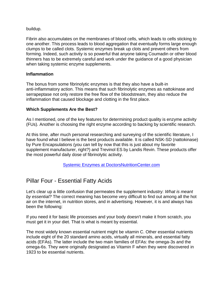buildup.

Fibrin also accumulates on the membranes of blood cells, which leads to cells sticking to one another. This process leads to blood aggregation that eventually forms large enough clumps to be called clots. Systemic enzymes break up clots and prevent others from forming. Indeed, such activity is so powerful that anyone taking Coumadin or other blood thinners has to be extremely careful and work under the guidance of a good physician when taking systemic enzyme supplements.

#### **Inflammation**

The bonus from some fibrinolytic enzymes is that they also have a built-in anti-inflammatory action. This means that such fibrinolytic enzymes as nattokinase and serrapeptase not only restore the free flow of the bloodstream, they also reduce the inflammation that caused blockage and clotting in the first place.

#### **Which Supplements Are the Best?**

As I mentioned, one of the key features for determining product quality is enzyme activity (FUs). Another is choosing the right enzyme according to backing by scientific research.

At this time, after much personal researching and surveying of the scientific literature, I have found what I believe is the best products available. It is called NSK-SD (nattokinase) by Pure Encapsulations (you can tell by now that this is just about my favorite supplement manufacturer, right?) and Trevinol ES by Landis Revin. These products offer the most powerful daily dose of fibrinolytic activity.

[Systemic Enzymes at DoctorsNutritionCenter.com](http://doctorsnutritioncenter.com/shop/category/enzymes/)

# Pillar Four - Essential Fatty Acids

Let's clear up a little confusion that permeates the supplement industry: *What is meant by essential?* The correct meaning has become very difficult to find out among all the hot air on the internet, in nutrition stores, and in advertising. However, it is and always has been the following:

If you need it for basic life processes and your body doesn't make it from scratch, you must get it in your diet. That is what is meant by essential.

The most widely known essential nutrient might be vitamin C. Other essential nutrients include eight of the 20 standard amino acids, virtually all minerals, and essential fatty acids (EFAs). The latter include the two main families of EFAs: the omega-3s and the omega-6s. They were originally designated as Vitamin F when they were discovered in 1923 to be essential nutrients.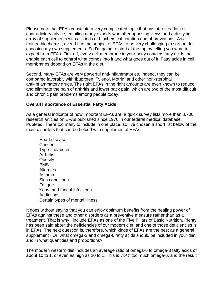Please note that EFAs constitute a very complicated topic that has attracted lots of contradictory advice, entailing many experts who offer opposing views and a dizzying array of supplements with all kinds of biochemical notation and abbreviations. As a trained biochemist, even I find the subject of EFAs to be very challenging to sort out for choosing my own supplements. So I'm going to start at the top by telling you what to expect from EFAs. First off, every cell membrane in your body contains fatty acids that enable each cell to control what comes into it and what goes out of it. Fatty acids in cell membranes depend on EFAs in the diet.

Second, many EFAs are very powerful anti-inflammatories. Indeed, they can be compared favorably with Ibuprofen, Tylenol, Motrin, and other non-steroidal anti-inflammatory drugs. The right EFAs in the right amounts are even known to reduce and eliminate the pain of arthritis and lower back pain, which are two of the most difficult and chronic pain problems among people today.

#### **Overall Importance of Essential Fatty Acids**

As a general indicator of how important EFAs are, a quick survey lists more than 8,700 research articles on EFAs published since 1976 in our federal medical database, PubMed. There too many to include in one place, so I've chosen a short list below of the main disorders that can be helped with supplemental EFAs.

Heart disease Cancer, Type 2 diabetes **Arthritis Obesity** PMS **Allergies** Asthma Skin conditions Fatigue Yeast and fungal infections **Addictions** Certain types of mental illness

It goes without saying that you can enjoy optimum benefits from the healing power of EFAs against these and other disorders as a preventive measure rather than as a treatment. That is why I include EFAs as one of the Five Pillars of Basic Nutrition. Plenty has been said about the deficiencies of our modern diet, and one of those deficiencies is in EFAs. The next question is, therefore, which kinds of EFAs are the best as a general supplement? Or, what omega-3 and omega-6 fatty acids should be included in your diet, and in what quantities and proportions?

The modern western diet includes an average ratio of omega-6 to omega-3 fatty acids of about 10 to 1, or even as high as 20 to 1. This is *WAY* too much omega-6, and the result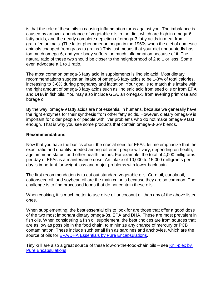is that the role of these oils in causing inflammation turns against you. The imbalance is caused by an over abundance of vegetable oils in the diet, which are high in omega-6 fatty acids, and the nearly complete depletion of omega-3 fatty acids in meat from grain-fed animals. (The latter phenomenon began in the 1960s when the diet of domestic animals changed from grass to grains.) This just means that your diet undoubtedly has too much omega-6, and your body suffers too much inflammation because of it. The natural ratio of these two should be closer to the neighborhood of 2 to 1 or less. Some even advocate a 1 to 1 ratio.

The most common omega-6 fatty acid in supplements is linoleic acid. Most dietary recommendations suggest an intake of omega-6 fatty acids to be 1-3% of total calories, increasing to 3-6% during pregnancy and lactation. Your goal is to match this intake with the right amount of omega-3 fatty acids such as linolenic acid from seed oils or from EPA and DHA in fish oils. You may also include GLA, an omega-3 from evening primrose and borage oil.

By the way, omega-9 fatty acids are not essential in humans, because we generally have the right enzymes for their synthesis from other fatty acids. However, dietary omega-9 is important for older people or people with liver problems who do not make omega-9 fast enough. That is why you see some products that contain omega-3-6-9 blends.

#### **Recommendations**

Now that you have the basics about the crucial need for EFAs, let me emphasize that the exact ratio and quantity needed among different people will vary, depending on health, age, immune status, and other health factors. For example, the total of 4,000 milligrams per day of EFAs is a maintenance dose. An intake of 10,000 to 15,000 milligrams per day is important for weight loss and major problems with lower back pain.

The first recommendation is to cut out standard vegetable oils. Corn oil, canola oil, cottonseed oil, and soybean oil are the main culprits because they are so common. The challenge is to find processed foods that do not contain these oils.

When cooking, it is much better to use olive oil or coconut oil than any of the above listed ones.

When supplementing, the best essential oils to look for are those that offer a good dose of the two most important dietary omega-3s, EPA and DHA. These are most prevalent in fish oils. When considering a fish oil supplement, the best choices are from sources that are as low as possible in the food chain, to minimize any chance of mercury or PCB contamination. These include such small fish as sardines and anchovies, which are the source of oils for [EPA/DHA Essentials by Pure Encapsulations.](http://doctorsnutritioncenter.com/shop/epa-dha-essentials-1000-mg-pure-encapsulations/)

Tiny krill are also a great source of these low-on-the-food-chain oils – see [Krill-plex by](http://doctorsnutritioncenter.com/shop/krill-plex-pure-encapsulations/)  [Pure Encapsulations.](http://doctorsnutritioncenter.com/shop/krill-plex-pure-encapsulations/)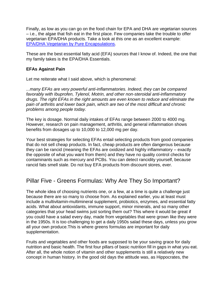Finally, as low as you can go on the food chain for EPA and DHA are vegetarian sources – i.e., the algae that fish eat in the first place. Few companies take the trouble to offer vegetarian EPA/DHA products. Take a look at this one as an excellent example: [EPA/DHA Vegetarian by Pure Encapsulations.](http://doctorsnutritioncenter.com/shop/epa-dha-vegetarian-pure-encapsulations/)

These are the best essential fatty acid (EFA) sources that I know of. Indeed, the one that my family takes is the EPA/DHA Essentials.

#### **EFAs Against Pain**

Let me reiterate what I said above, which is phenomenal:

*...many EFAs are very powerful anti-inflammatories. Indeed, they can be compared favorably with Ibuprofen, Tylenol, Motrin, and other non-steroidal anti-inflammatory drugs. The right EFAs in the right amounts are even known to reduce and eliminate the pain of arthritis and lower back pain, which are two of the most difficult and chronic problems among people today.* 

The key is dosage. Normal daily intakes of EFAs range between 2000 to 4000 mg. However, research on pain management, arthritis, and general inflammation shows benefits from dosages up to 10,000 to 12,000 mg per day.

Your best strategies for selecting EFAs entail selecting products from good companies that do not sell cheap products. In fact, cheap products are often dangerous because they can be rancid (meaning the EFAs are oxidized and highly inflammatory – exactly the opposite of what you want from them) and they have no quality control checks for contaminants such as mercury and PCBs. You can detect rancidity yourself, because rancid fats smell stale. Do not buy EFA products from discount stores, ever.

# Pillar Five - Greens Formulas: Why Are They So Important?

The whole idea of choosing nutrients one, or a few, at a time is quite a challenge just because there are so many to choose from. As explained earlier, you at least must include a multivitamin-multimineral supplement, probiotics, enzymes, and essential fatty acids. What about antioxidants, immune support, minor minerals, and so many other categories that your head swims just sorting them out? This where it would be great if you could have a salad every day, made from vegetables that were grown like they were in the 1950s. It is too challenging to get a daily 1950s salad these days, unless you grow all your own produce.This is where greens formulas are important for daily supplementation.

Fruits and vegetables and other foods are supposed to be your saving grace for daily nutrition and basic health. The first four pillars of basic nutrition fill in gaps in what you eat. After all, the whole notion of vitamin and other supplements is still a relatively new concept in human history. In the good old days the attitude was, as Hippocrates, the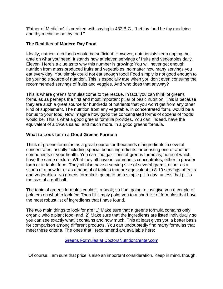'Father of Medicine', is credited with saying in 432 B.C., "Let thy food be thy medicine and thy medicine be thy food."

#### **The Realities of Modern Day Food**

Ideally, nutrient rich foods would be sufficient. However, nutritionists keep upping the ante on what you need. It stands now at eleven servings of fruits and vegetables daily. Eleven! Here's a clue as to why this number is growing: You will never get enough nutrition from mass produced fruits and vegetables, no matter how many servings you eat every day. You simply could not eat enough food! Food simply is not good enough to be your sole source of nutrition. This is especially true when you don't even consume the recommended servings of fruits and veggies. And who does that anyway?

This is where greens formulas come to the rescue. In fact, you can think of greens formulas as perhaps the first and most important pillar of basic nutrition. This is because they are such a great source for hundreds of nutrients that you won't get from any other kind of supplement. The nutrition from any vegetable, in concentrated form, would be a bonus to your food. Now imagine how good the concentrated forms of dozens of foods would be. This is what a good greens formula provides. You can, indeed, have the equivalent of a 1950s salad, and much more, in a good greens formula.

#### **What to Look for in a Good Greens Formula**

Think of greens formulas as a great source for thousands of ingredients in several concentrates, usually including special bonus ingredients for boosting one or another components of your health. You can find gazillions of greens formulas, none of which have the same mixture. What they all have in common is concentrates, either in powder form or in tablet form. They all also have a serving size of several grams, either as a scoop of a powder or as a handful of tablets that are equivalent to 8-10 servings of fruits and vegetables. No greens formula is going to be a simple pill a day, unless that pill is the size of a golf ball.

The topic of greens formulas could fill a book, so I am going to just give you a couple of pointers on what to look for. Then I"ll simply point you to a short list of formulas that have the most robust list of ingredients that I have found.

The two main things to look for are: 1) Make sure that a greens formula contains only organic whole plant food; and, 2) Make sure that the ingredients are listed individually so you can see exactly what it contains and how much. This at least gives you a better basis for comparison among different products. You can undoubtedly find many formulas that meet these criteria. The ones that I recommend are available here:

[Greens Formulas at DoctorsNutritionCenter.com](http://doctorsnutritioncenter.com/shop/category/greens-formulas/)

Of course, I am sure that price is also an important consideration. Keep in mind, though,